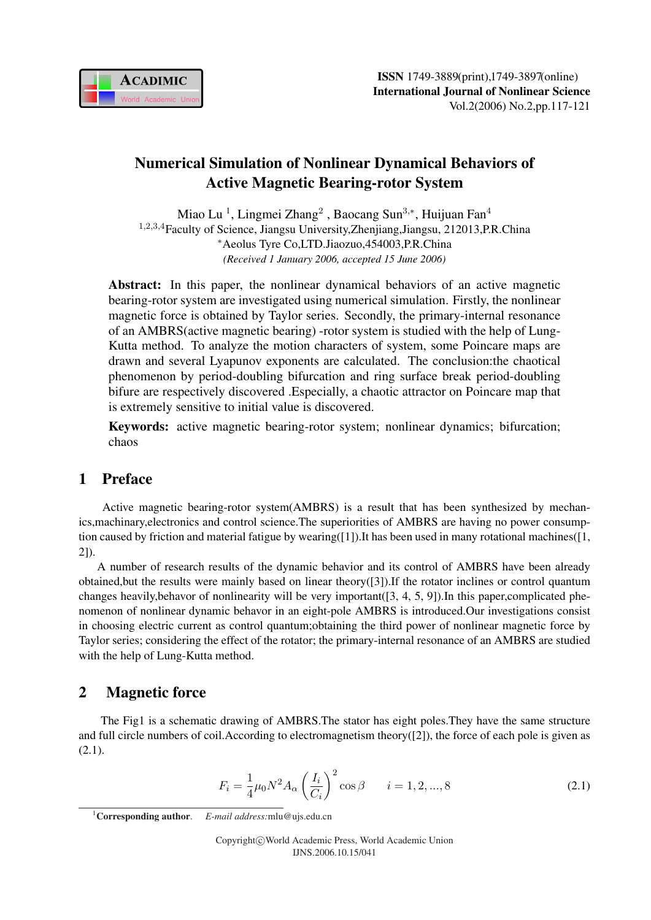

# Numerical Simulation of Nonlinear Dynamical Behaviors of Active Magnetic Bearing-rotor System

Miao Lu<sup>1</sup>, Lingmei Zhang<sup>2</sup>, Baocang Sun<sup>3,∗</sup>, Huijuan Fan<sup>4</sup> <sup>1</sup>,2,3,4Faculty of Science, Jiangsu University,Zhenjiang,Jiangsu, 212013,P.R.China <sup>∗</sup>Aeolus Tyre Co,LTD.Jiaozuo,454003,P.R.China *(Received 1 January 2006, accepted 15 June 2006)*

Abstract: In this paper, the nonlinear dynamical behaviors of an active magnetic bearing-rotor system are investigated using numerical simulation. Firstly, the nonlinear magnetic force is obtained by Taylor series. Secondly, the primary-internal resonance of an AMBRS(active magnetic bearing) -rotor system is studied with the help of Lung-Kutta method. To analyze the motion characters of system, some Poincare maps are drawn and several Lyapunov exponents are calculated. The conclusion:the chaotical phenomenon by period-doubling bifurcation and ring surface break period-doubling bifure are respectively discovered .Especially, a chaotic attractor on Poincare map that is extremely sensitive to initial value is discovered.

Keywords: active magnetic bearing-rotor system; nonlinear dynamics; bifurcation; chaos

# 1 Preface

Active magnetic bearing-rotor system(AMBRS) is a result that has been synthesized by mechanics,machinary,electronics and control science.The superiorities of AMBRS are having no power consumption caused by friction and material fatigue by wearing( $[1]$ ). It has been used in many rotational machines( $[1, 1]$ 2]).

A number of research results of the dynamic behavior and its control of AMBRS have been already obtained,but the results were mainly based on linear theory([3]).If the rotator inclines or control quantum changes heavily,behavor of nonlinearity will be very important([3, 4, 5, 9]).In this paper,complicated phenomenon of nonlinear dynamic behavor in an eight-pole AMBRS is introduced.Our investigations consist in choosing electric current as control quantum;obtaining the third power of nonlinear magnetic force by Taylor series; considering the effect of the rotator; the primary-internal resonance of an AMBRS are studied with the help of Lung-Kutta method.

# 2 Magnetic force

The Fig1 is a schematic drawing of AMBRS.The stator has eight poles.They have the same structure and full circle numbers of coil.According to electromagnetism theory([2]), the force of each pole is given as  $(2.1).$ 

$$
F_i = \frac{1}{4}\mu_0 N^2 A_\alpha \left(\frac{I_i}{C_i}\right)^2 \cos \beta \qquad i = 1, 2, ..., 8
$$
 (2.1)

<sup>1</sup>Corresponding author. *E-mail address:*mlu@ujs.edu.cn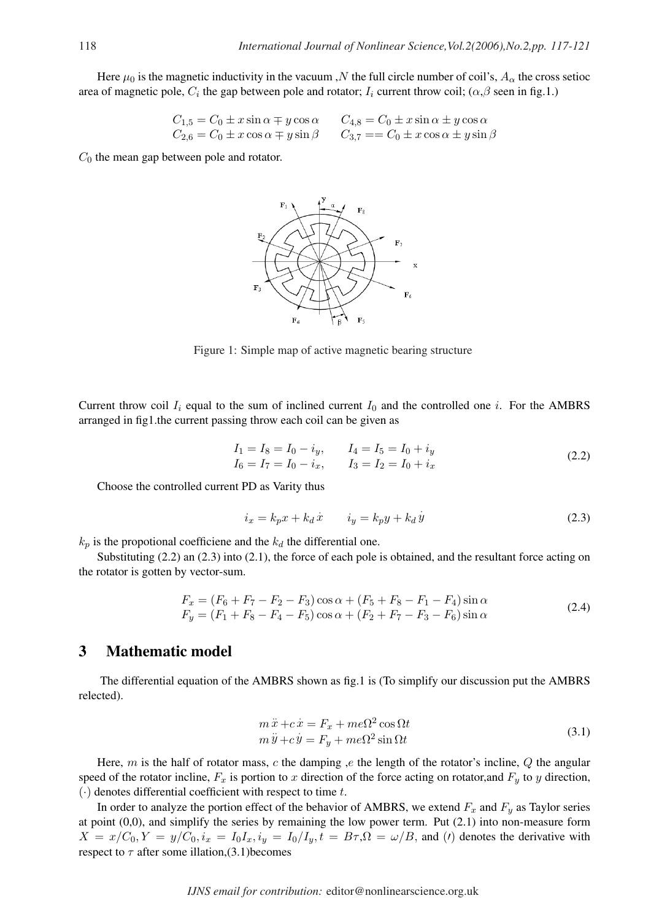Here  $\mu_0$  is the magnetic inductivity in the vacuum ,N the full circle number of coil's,  $A_\alpha$  the cross setioc area of magnetic pole,  $C_i$  the gap between pole and rotator;  $I_i$  current throw coil;  $(\alpha, \beta$  seen in fig.1.)

$$
C_{1,5} = C_0 \pm x \sin \alpha \mp y \cos \alpha \qquad C_{4,8} = C_0 \pm x \sin \alpha \pm y \cos \alpha
$$
  
\n
$$
C_{2,6} = C_0 \pm x \cos \alpha \mp y \sin \beta \qquad C_{3,7} = C_0 \pm x \cos \alpha \pm y \sin \beta
$$

 $C_0$  the mean gap between pole and rotator.



Figure 1: Simple map of active magnetic bearing structure

Current throw coil  $I_i$  equal to the sum of inclined current  $I_0$  and the controlled one i. For the AMBRS arranged in fig1.the current passing throw each coil can be given as

$$
I_1 = I_8 = I_0 - i_y, \t I_4 = I_5 = I_0 + i_y I_6 = I_7 = I_0 - i_x, \t I_3 = I_2 = I_0 + i_x
$$
\n(2.2)

Choose the controlled current PD as Varity thus

$$
i_x = k_p x + k_d \dot{x} \qquad i_y = k_p y + k_d \dot{y} \tag{2.3}
$$

 $k_p$  is the propotional coefficiene and the  $k_d$  the differential one.

Substituting (2.2) an (2.3) into (2.1), the force of each pole is obtained, and the resultant force acting on the rotator is gotten by vector-sum.

$$
F_x = (F_6 + F_7 - F_2 - F_3) \cos \alpha + (F_5 + F_8 - F_1 - F_4) \sin \alpha
$$
  
\n
$$
F_y = (F_1 + F_8 - F_4 - F_5) \cos \alpha + (F_2 + F_7 - F_3 - F_6) \sin \alpha
$$
 (2.4)

## 3 Mathematic model

The differential equation of the AMBRS shown as fig.1 is (To simplify our discussion put the AMBRS relected).

$$
m\ddot{x} + c\dot{x} = F_x + me\Omega^2 \cos \Omega t
$$
  
\n
$$
m\ddot{y} + c\dot{y} = F_y + me\Omega^2 \sin \Omega t
$$
\n(3.1)

Here, m is the half of rotator mass, c the damping ,e the length of the rotator's incline,  $Q$  the angular speed of the rotator incline,  $F_x$  is portion to x direction of the force acting on rotator, and  $F_y$  to y direction,  $\left(\cdot\right)$  denotes differential coefficient with respect to time t.

In order to analyze the portion effect of the behavior of AMBRS, we extend  $F_x$  and  $F_y$  as Taylor series at point (0,0), and simplify the series by remaining the low power term. Put (2.1) into non-measure form  $X = x/C_0, Y = y/C_0, i_x = I_0I_x, i_y = I_0/I_y, t = B\tau, \Omega = \omega/B$ , and (*t*) denotes the derivative with respect to  $\tau$  after some illation,(3.1) becomes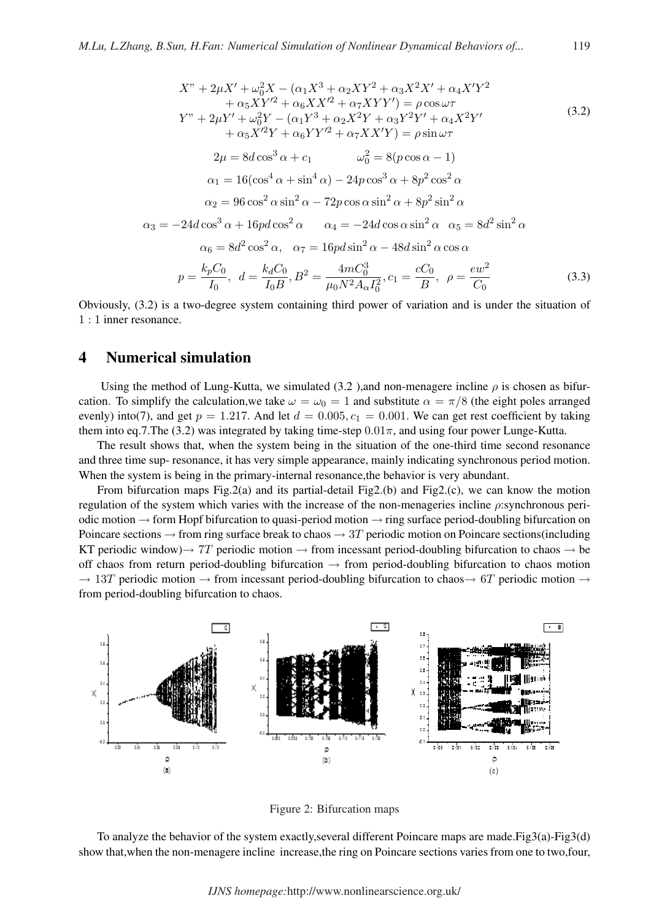$$
X'' + 2\mu X' + \omega_0^2 X - (\alpha_1 X^3 + \alpha_2 XY^2 + \alpha_3 X^2 X' + \alpha_4 X'Y^2
$$
  
+  $\alpha_5 XY'^2 + \alpha_6 XX'^2 + \alpha_7 XYY') = \rho \cos \omega \tau$   

$$
Y'' + 2\mu Y' + \omega_0^2 Y - (\alpha_1 Y^3 + \alpha_2 X^2 Y + \alpha_3 Y^2 Y' + \alpha_4 X^2 Y' + \alpha_5 X'^2 Y + \alpha_6 Y Y'^2 + \alpha_7 X X'Y) = \rho \sin \omega \tau
$$
  

$$
2\mu = 8d \cos^3 \alpha + c_1 \qquad \omega_0^2 = 8(p \cos \alpha - 1)
$$
  
 $\alpha_1 = 16(\cos^4 \alpha + \sin^4 \alpha) - 24p \cos^3 \alpha + 8p^2 \cos^2 \alpha$   
 $\alpha_2 = 96 \cos^2 \alpha \sin^2 \alpha - 72p \cos \alpha \sin^2 \alpha + 8p^2 \sin^2 \alpha$   
 $\alpha_3 = -24d \cos^3 \alpha + 16pd \cos^2 \alpha \qquad \alpha_4 = -24d \cos \alpha \sin^2 \alpha \qquad \alpha_5 = 8d^2 \sin^2 \alpha$   
 $\alpha_6 = 8d^2 \cos^2 \alpha, \qquad \alpha_7 = 16pd \sin^2 \alpha - 48d \sin^2 \alpha \cos \alpha$   
 $p = \frac{k_p C_0}{I_0}, \quad d = \frac{k_d C_0}{I_0 B}, B^2 = \frac{4m C_0^3}{\mu_0 N^2 A_\alpha I_0^2}, c_1 = \frac{cC_0}{B}, \quad \rho = \frac{ew^2}{C_0}$  (3.3)

Obviously, (3.2) is a two-degree system containing third power of variation and is under the situation of 1 : 1 inner resonance.

## 4 Numerical simulation

Using the method of Lung-Kutta, we simulated (3.2), and non-menagere incline  $\rho$  is chosen as bifurcation. To simplify the calculation, we take  $\omega = \omega_0 = 1$  and substitute  $\alpha = \pi/8$  (the eight poles arranged evenly) into(7), and get  $p = 1.217$ . And let  $d = 0.005$ ,  $c_1 = 0.001$ . We can get rest coefficient by taking them into eq.7.The (3.2) was integrated by taking time-step  $0.01\pi$ , and using four power Lunge-Kutta.

The result shows that, when the system being in the situation of the one-third time second resonance and three time sup- resonance, it has very simple appearance, mainly indicating synchronous period motion. When the system is being in the primary-internal resonance,the behavior is very abundant.

From bifurcation maps Fig.2(a) and its partial-detail Fig2.(b) and Fig2.(c), we can know the motion regulation of the system which varies with the increase of the non-menageries incline ρ:synchronous periodic motion  $\rightarrow$  form Hopf bifurcation to quasi-period motion  $\rightarrow$  ring surface period-doubling bifurcation on Poincare sections  $\rightarrow$  from ring surface break to chaos  $\rightarrow$  3T periodic motion on Poincare sections(including KT periodic window) $\rightarrow$  7T periodic motion  $\rightarrow$  from incessant period-doubling bifurcation to chaos  $\rightarrow$  be off chaos from return period-doubling bifurcation  $\rightarrow$  from period-doubling bifurcation to chaos motion  $\rightarrow$  13T periodic motion  $\rightarrow$  from incessant period-doubling bifurcation to chaos $\rightarrow$  6T periodic motion  $\rightarrow$ from period-doubling bifurcation to chaos.



Figure 2: Bifurcation maps

To analyze the behavior of the system exactly,several different Poincare maps are made.Fig3(a)-Fig3(d) show that,when the non-menagere incline increase,the ring on Poincare sections varies from one to two,four,

*IJNS homepage:*http://www.nonlinearscience.org.uk/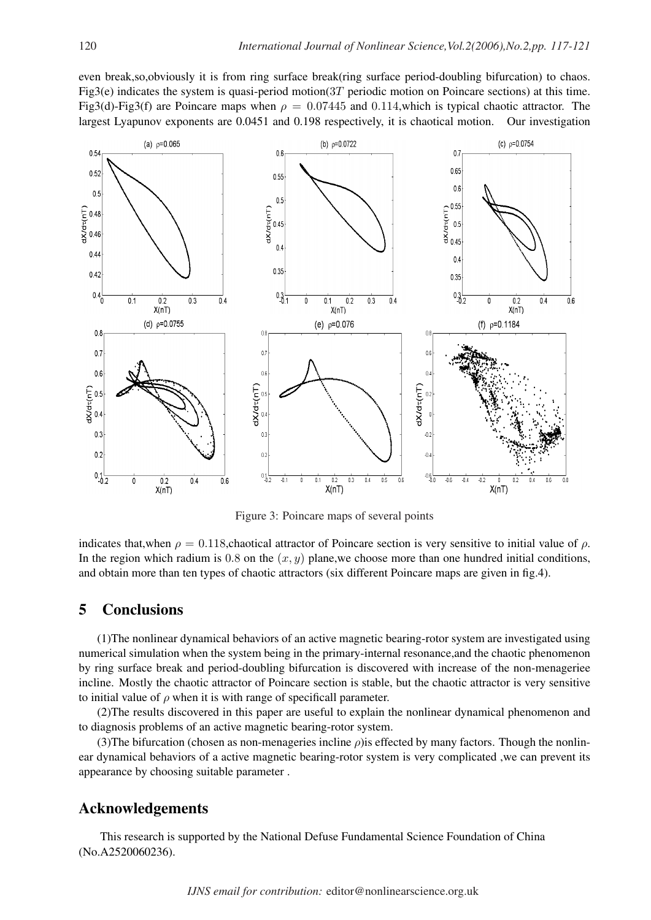even break,so,obviously it is from ring surface break(ring surface period-doubling bifurcation) to chaos. Fig3(e) indicates the system is quasi-period motion( $3T$  periodic motion on Poincare sections) at this time. Fig3(d)-Fig3(f) are Poincare maps when  $\rho = 0.07445$  and 0.114, which is typical chaotic attractor. The largest Lyapunov exponents are 0.0451 and 0.198 respectively, it is chaotical motion. Our investigation



Figure 3: Poincare maps of several points

indicates that,when  $\rho = 0.118$ , chaotical attractor of Poincare section is very sensitive to initial value of  $\rho$ . In the region which radium is 0.8 on the  $(x, y)$  plane, we choose more than one hundred initial conditions, and obtain more than ten types of chaotic attractors (six different Poincare maps are given in fig.4).

## 5 Conclusions

(1)The nonlinear dynamical behaviors of an active magnetic bearing-rotor system are investigated using numerical simulation when the system being in the primary-internal resonance,and the chaotic phenomenon by ring surface break and period-doubling bifurcation is discovered with increase of the non-menageriee incline. Mostly the chaotic attractor of Poincare section is stable, but the chaotic attractor is very sensitive to initial value of  $\rho$  when it is with range of specificall parameter.

(2)The results discovered in this paper are useful to explain the nonlinear dynamical phenomenon and to diagnosis problems of an active magnetic bearing-rotor system.

(3)The bifurcation (chosen as non-menageries incline  $\rho$ ) is effected by many factors. Though the nonlinear dynamical behaviors of a active magnetic bearing-rotor system is very complicated ,we can prevent its appearance by choosing suitable parameter .

## Acknowledgements

This research is supported by the National Defuse Fundamental Science Foundation of China (No.A2520060236).